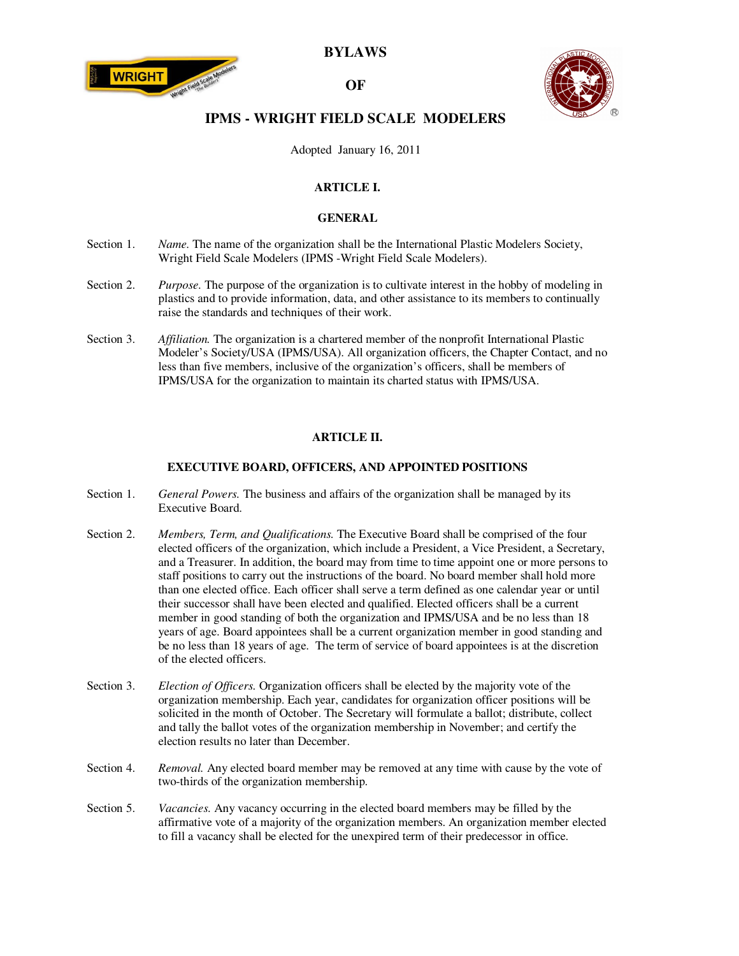

**BYLAWS** 

**OF** 



# **IPMS - WRIGHT FIELD SCALE MODELERS**

Adopted January 16, 2011

# **ARTICLE I.**

## **GENERAL**

- Section 1. *Name*. The name of the organization shall be the International Plastic Modelers Society, Wright Field Scale Modelers (IPMS -Wright Field Scale Modelers).
- Section 2. *Purpose*. The purpose of the organization is to cultivate interest in the hobby of modeling in plastics and to provide information, data, and other assistance to its members to continually raise the standards and techniques of their work.
- Section 3. *Affiliation.* The organization is a chartered member of the nonprofit International Plastic Modeler's Society/USA (IPMS/USA). All organization officers, the Chapter Contact, and no less than five members, inclusive of the organization's officers, shall be members of IPMS/USA for the organization to maintain its charted status with IPMS/USA.

# **ARTICLE II.**

# **EXECUTIVE BOARD, OFFICERS, AND APPOINTED POSITIONS**

- Section 1. *General Powers.* The business and affairs of the organization shall be managed by its Executive Board.
- Section 2. *Members, Term, and Qualifications.* The Executive Board shall be comprised of the four elected officers of the organization, which include a President, a Vice President, a Secretary, and a Treasurer. In addition, the board may from time to time appoint one or more persons to staff positions to carry out the instructions of the board. No board member shall hold more than one elected office. Each officer shall serve a term defined as one calendar year or until their successor shall have been elected and qualified. Elected officers shall be a current member in good standing of both the organization and IPMS/USA and be no less than 18 years of age. Board appointees shall be a current organization member in good standing and be no less than 18 years of age. The term of service of board appointees is at the discretion of the elected officers.
- Section 3. *Election of Officers.* Organization officers shall be elected by the majority vote of the organization membership. Each year, candidates for organization officer positions will be solicited in the month of October. The Secretary will formulate a ballot; distribute, collect and tally the ballot votes of the organization membership in November; and certify the election results no later than December.
- Section 4. *Removal.* Any elected board member may be removed at any time with cause by the vote of two-thirds of the organization membership.
- Section 5. *Vacancies.* Any vacancy occurring in the elected board members may be filled by the affirmative vote of a majority of the organization members. An organization member elected to fill a vacancy shall be elected for the unexpired term of their predecessor in office.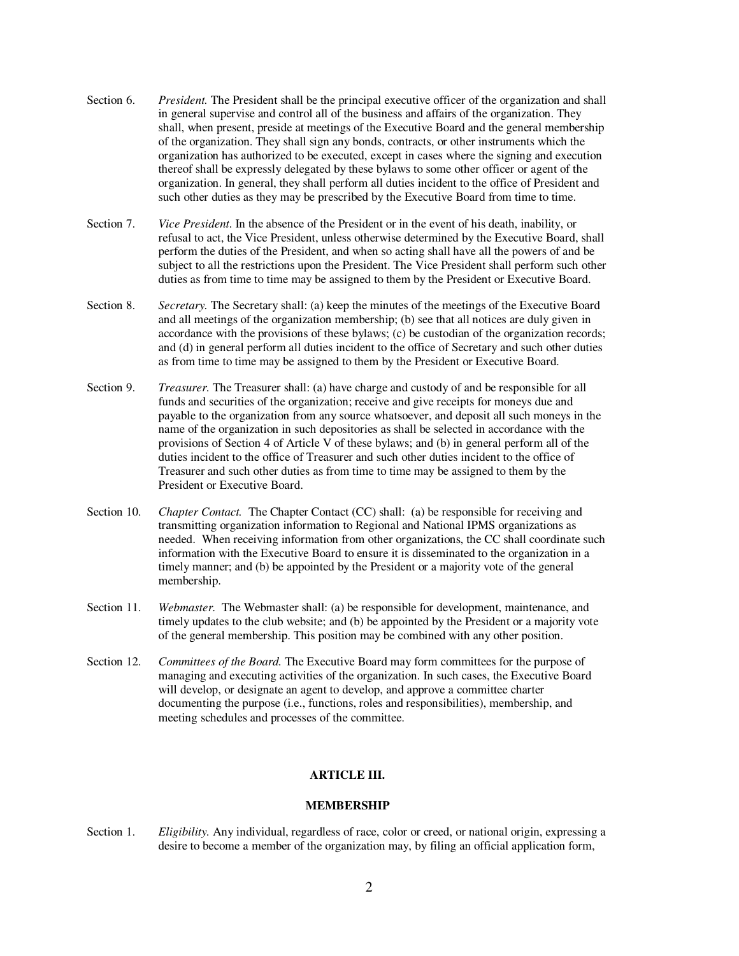- Section 6. *President.* The President shall be the principal executive officer of the organization and shall in general supervise and control all of the business and affairs of the organization. They shall, when present, preside at meetings of the Executive Board and the general membership of the organization. They shall sign any bonds, contracts, or other instruments which the organization has authorized to be executed, except in cases where the signing and execution thereof shall be expressly delegated by these bylaws to some other officer or agent of the organization. In general, they shall perform all duties incident to the office of President and such other duties as they may be prescribed by the Executive Board from time to time.
- Section 7. *Vice President*. In the absence of the President or in the event of his death, inability, or refusal to act, the Vice President, unless otherwise determined by the Executive Board, shall perform the duties of the President, and when so acting shall have all the powers of and be subject to all the restrictions upon the President. The Vice President shall perform such other duties as from time to time may be assigned to them by the President or Executive Board.
- Section 8. *Secretary.* The Secretary shall: (a) keep the minutes of the meetings of the Executive Board and all meetings of the organization membership; (b) see that all notices are duly given in accordance with the provisions of these bylaws; (c) be custodian of the organization records; and (d) in general perform all duties incident to the office of Secretary and such other duties as from time to time may be assigned to them by the President or Executive Board.
- Section 9. *Treasurer.* The Treasurer shall: (a) have charge and custody of and be responsible for all funds and securities of the organization; receive and give receipts for moneys due and payable to the organization from any source whatsoever, and deposit all such moneys in the name of the organization in such depositories as shall be selected in accordance with the provisions of Section 4 of Article V of these bylaws; and (b) in general perform all of the duties incident to the office of Treasurer and such other duties incident to the office of Treasurer and such other duties as from time to time may be assigned to them by the President or Executive Board.
- Section 10. *Chapter Contact.* The Chapter Contact (CC) shall: (a) be responsible for receiving and transmitting organization information to Regional and National IPMS organizations as needed. When receiving information from other organizations, the CC shall coordinate such information with the Executive Board to ensure it is disseminated to the organization in a timely manner; and (b) be appointed by the President or a majority vote of the general membership.
- Section 11. *Webmaster.* The Webmaster shall: (a) be responsible for development, maintenance, and timely updates to the club website; and (b) be appointed by the President or a majority vote of the general membership. This position may be combined with any other position.
- Section 12. *Committees of the Board.* The Executive Board may form committees for the purpose of managing and executing activities of the organization. In such cases, the Executive Board will develop, or designate an agent to develop, and approve a committee charter documenting the purpose (i.e., functions, roles and responsibilities), membership, and meeting schedules and processes of the committee.

### **ARTICLE III.**

#### **MEMBERSHIP**

Section 1. *Eligibility.* Any individual, regardless of race, color or creed, or national origin, expressing a desire to become a member of the organization may, by filing an official application form,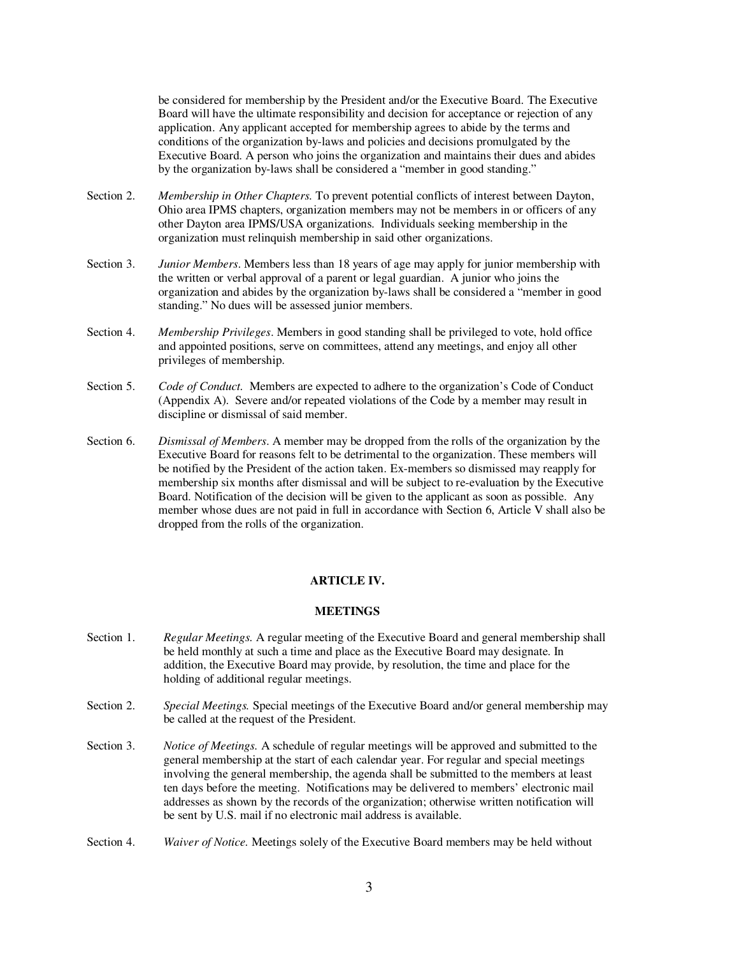be considered for membership by the President and/or the Executive Board. The Executive Board will have the ultimate responsibility and decision for acceptance or rejection of any application. Any applicant accepted for membership agrees to abide by the terms and conditions of the organization by-laws and policies and decisions promulgated by the Executive Board. A person who joins the organization and maintains their dues and abides by the organization by-laws shall be considered a "member in good standing."

- Section 2. *Membership in Other Chapters.* To prevent potential conflicts of interest between Dayton, Ohio area IPMS chapters, organization members may not be members in or officers of any other Dayton area IPMS/USA organizations. Individuals seeking membership in the organization must relinquish membership in said other organizations.
- Section 3. *Junior Members*. Members less than 18 years of age may apply for junior membership with the written or verbal approval of a parent or legal guardian. A junior who joins the organization and abides by the organization by-laws shall be considered a "member in good standing." No dues will be assessed junior members.
- Section 4. *Membership Privileges*. Members in good standing shall be privileged to vote, hold office and appointed positions, serve on committees, attend any meetings, and enjoy all other privileges of membership.
- Section 5. *Code of Conduct.* Members are expected to adhere to the organization's Code of Conduct (Appendix A). Severe and/or repeated violations of the Code by a member may result in discipline or dismissal of said member.
- Section 6. *Dismissal of Members*. A member may be dropped from the rolls of the organization by the Executive Board for reasons felt to be detrimental to the organization. These members will be notified by the President of the action taken. Ex-members so dismissed may reapply for membership six months after dismissal and will be subject to re-evaluation by the Executive Board. Notification of the decision will be given to the applicant as soon as possible. Any member whose dues are not paid in full in accordance with Section 6, Article V shall also be dropped from the rolls of the organization.

#### **ARTICLE IV.**

#### **MEETINGS**

- Section 1. *Regular Meetings.* A regular meeting of the Executive Board and general membership shall be held monthly at such a time and place as the Executive Board may designate. In addition, the Executive Board may provide, by resolution, the time and place for the holding of additional regular meetings.
- Section 2. *Special Meetings.* Special meetings of the Executive Board and/or general membership may be called at the request of the President.
- Section 3. *Notice of Meetings.* A schedule of regular meetings will be approved and submitted to the general membership at the start of each calendar year. For regular and special meetings involving the general membership, the agenda shall be submitted to the members at least ten days before the meeting. Notifications may be delivered to members' electronic mail addresses as shown by the records of the organization; otherwise written notification will be sent by U.S. mail if no electronic mail address is available.
- Section 4. *Waiver of Notice.* Meetings solely of the Executive Board members may be held without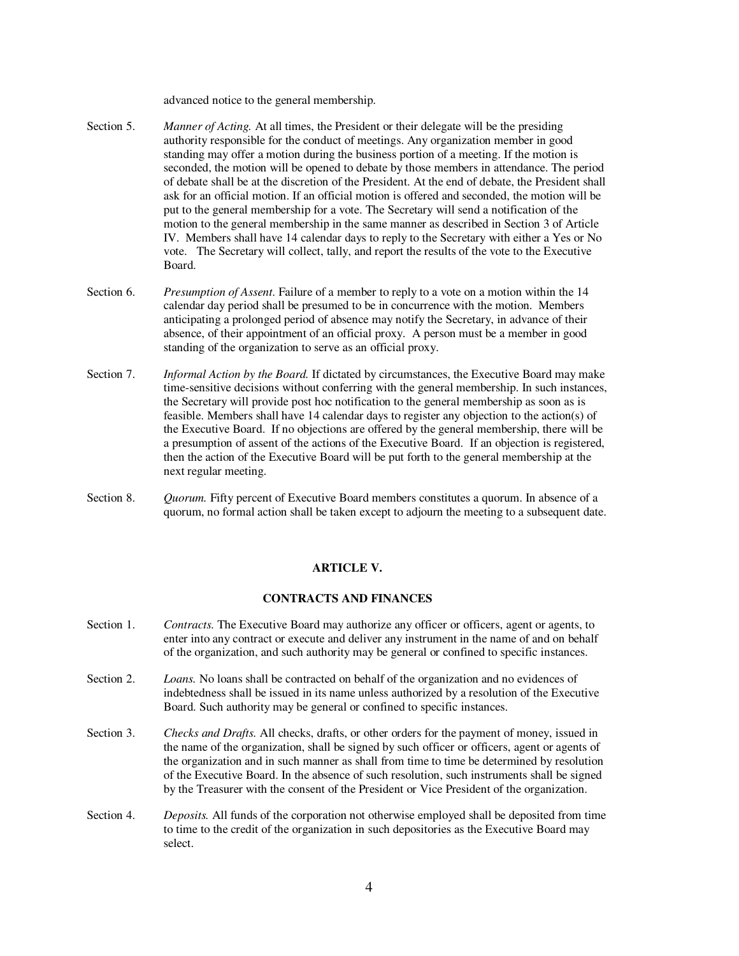advanced notice to the general membership.

- Section 5. *Manner of Acting.* At all times, the President or their delegate will be the presiding authority responsible for the conduct of meetings. Any organization member in good standing may offer a motion during the business portion of a meeting. If the motion is seconded, the motion will be opened to debate by those members in attendance. The period of debate shall be at the discretion of the President. At the end of debate, the President shall ask for an official motion. If an official motion is offered and seconded, the motion will be put to the general membership for a vote. The Secretary will send a notification of the motion to the general membership in the same manner as described in Section 3 of Article IV. Members shall have 14 calendar days to reply to the Secretary with either a Yes or No vote. The Secretary will collect, tally, and report the results of the vote to the Executive Board.
- Section 6. *Presumption of Assent*. Failure of a member to reply to a vote on a motion within the 14 calendar day period shall be presumed to be in concurrence with the motion. Members anticipating a prolonged period of absence may notify the Secretary, in advance of their absence, of their appointment of an official proxy. A person must be a member in good standing of the organization to serve as an official proxy.
- Section 7. *Informal Action by the Board.* If dictated by circumstances, the Executive Board may make time-sensitive decisions without conferring with the general membership. In such instances, the Secretary will provide post hoc notification to the general membership as soon as is feasible. Members shall have 14 calendar days to register any objection to the action(s) of the Executive Board. If no objections are offered by the general membership, there will be a presumption of assent of the actions of the Executive Board. If an objection is registered, then the action of the Executive Board will be put forth to the general membership at the next regular meeting.
- Section 8. *Quorum.* Fifty percent of Executive Board members constitutes a quorum. In absence of a quorum, no formal action shall be taken except to adjourn the meeting to a subsequent date.

#### **ARTICLE V.**

### **CONTRACTS AND FINANCES**

- Section 1. *Contracts.* The Executive Board may authorize any officer or officers, agent or agents, to enter into any contract or execute and deliver any instrument in the name of and on behalf of the organization, and such authority may be general or confined to specific instances.
- Section 2. *Loans.* No loans shall be contracted on behalf of the organization and no evidences of indebtedness shall be issued in its name unless authorized by a resolution of the Executive Board. Such authority may be general or confined to specific instances.
- Section 3. *Checks and Drafts.* All checks, drafts, or other orders for the payment of money, issued in the name of the organization, shall be signed by such officer or officers, agent or agents of the organization and in such manner as shall from time to time be determined by resolution of the Executive Board. In the absence of such resolution, such instruments shall be signed by the Treasurer with the consent of the President or Vice President of the organization.
- Section 4. *Deposits.* All funds of the corporation not otherwise employed shall be deposited from time to time to the credit of the organization in such depositories as the Executive Board may select.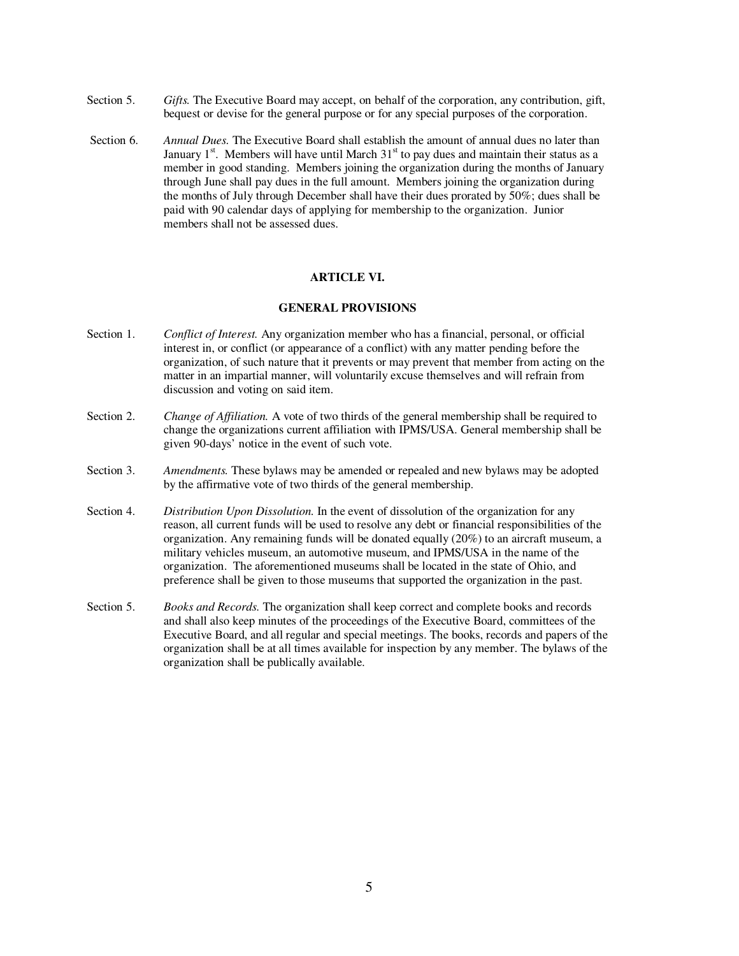- Section 5. Gifts. The Executive Board may accept, on behalf of the corporation, any contribution, gift, bequest or devise for the general purpose or for any special purposes of the corporation.
- Section 6. *Annual Dues.* The Executive Board shall establish the amount of annual dues no later than January  $1<sup>st</sup>$ . Members will have until March  $31<sup>st</sup>$  to pay dues and maintain their status as a member in good standing. Members joining the organization during the months of January through June shall pay dues in the full amount. Members joining the organization during the months of July through December shall have their dues prorated by 50%; dues shall be paid with 90 calendar days of applying for membership to the organization. Junior members shall not be assessed dues.

## **ARTICLE VI.**

### **GENERAL PROVISIONS**

- Section 1. *Conflict of Interest.* Any organization member who has a financial, personal, or official interest in, or conflict (or appearance of a conflict) with any matter pending before the organization, of such nature that it prevents or may prevent that member from acting on the matter in an impartial manner, will voluntarily excuse themselves and will refrain from discussion and voting on said item.
- Section 2. *Change of Affiliation.* A vote of two thirds of the general membership shall be required to change the organizations current affiliation with IPMS/USA. General membership shall be given 90-days' notice in the event of such vote.
- Section 3. *Amendments.* These bylaws may be amended or repealed and new bylaws may be adopted by the affirmative vote of two thirds of the general membership.
- Section 4. *Distribution Upon Dissolution.* In the event of dissolution of the organization for any reason, all current funds will be used to resolve any debt or financial responsibilities of the organization. Any remaining funds will be donated equally (20%) to an aircraft museum, a military vehicles museum, an automotive museum, and IPMS/USA in the name of the organization. The aforementioned museums shall be located in the state of Ohio, and preference shall be given to those museums that supported the organization in the past.
- Section 5. *Books and Records*. The organization shall keep correct and complete books and records and shall also keep minutes of the proceedings of the Executive Board, committees of the Executive Board, and all regular and special meetings. The books, records and papers of the organization shall be at all times available for inspection by any member. The bylaws of the organization shall be publically available.